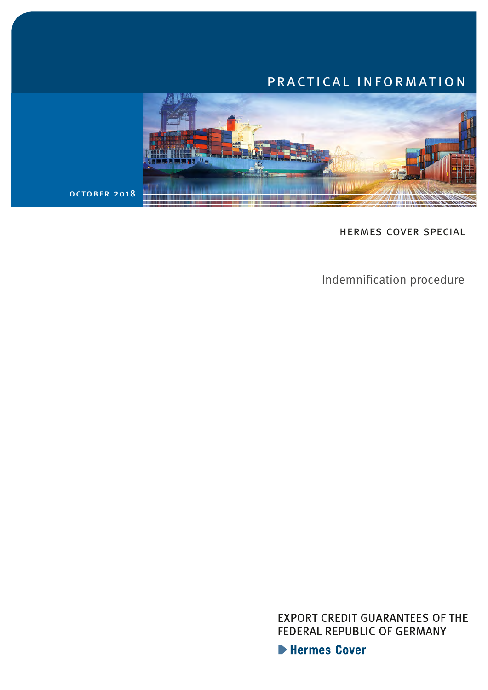# practical information



hermes cover special

Indemnification procedure

**EXPORT CREDIT GUARANTEES OF THE** FEDERAL REPUBLIC OF GERMANY

Hermes Cover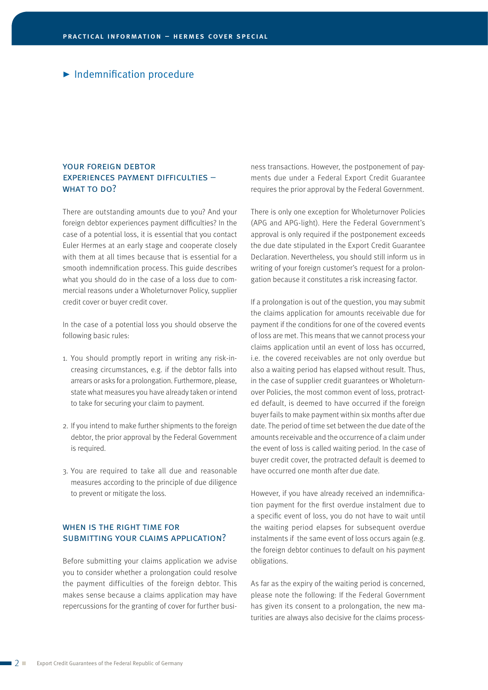## $\blacktriangleright$  Indemnification procedure

### YOUR FOREIGN DEBTOR experiences payment difficulties – WHAT TO DO?

There are outstanding amounts due to you? And your foreign debtor experiences payment difficulties? In the case of a potential loss, it is essential that you contact Euler Hermes at an early stage and cooperate closely with them at all times because that is essential for a smooth indemnification process. This guide describes what you should do in the case of a loss due to commercial reasons under a Wholeturnover Policy, supplier credit cover or buyer credit cover.

In the case of a potential loss you should observe the following basic rules:

- 1. You should promptly report in writing any risk-increasing circumstances, e.g. if the debtor falls into arrears or asks for a prolongation. Furthermore, please, state what measures you have already taken or intend to take for securing your claim to payment.
- 2. If you intend to make further shipments to the foreign debtor, the prior approval by the Federal Government is required.
- 3. You are required to take all due and reasonable measures according to the principle of due diligence to prevent or mitigate the loss.

#### WHEN IS THE RIGHT TIME FOR submitting your claims application?

Before submitting your claims application we advise you to consider whether a prolongation could resolve the payment difficulties of the foreign debtor. This makes sense because a claims application may have repercussions for the granting of cover for further business transactions. However, the postponement of payments due under a Federal Export Credit Guarantee requires the prior approval by the Federal Government.

There is only one exception for Wholeturnover Policies (APG and APG-light). Here the Federal Government's approval is only required if the postponement exceeds the due date stipulated in the Export Credit Guarantee Declaration. Nevertheless, you should still inform us in writing of your foreign customer's request for a prolongation because it constitutes a risk increasing factor.

If a prolongation is out of the question, you may submit the claims application for amounts receivable due for payment if the conditions for one of the covered events of loss are met. This means that we cannot process your claims application until an event of loss has occurred, i.e. the covered receivables are not only overdue but also a waiting period has elapsed without result. Thus, in the case of supplier credit guarantees or Wholeturnover Policies, the most common event of loss, protracted default, is deemed to have occurred if the foreign buyer fails to make payment within six months after due date. The period of time set between the due date of the amounts receivable and the occurrence of a claim under the event of loss is called waiting period. In the case of buyer credit cover, the protracted default is deemed to have occurred one month after due date.

However, if you have already received an indemnification payment for the first overdue instalment due to a specific event of loss, you do not have to wait until the waiting period elapses for subsequent overdue instalments if the same event of loss occurs again (e.g. the foreign debtor continues to default on his payment obligations.

As far as the expiry of the waiting period is concerned, please note the following: If the Federal Government has given its consent to a prolongation, the new maturities are always also decisive for the claims process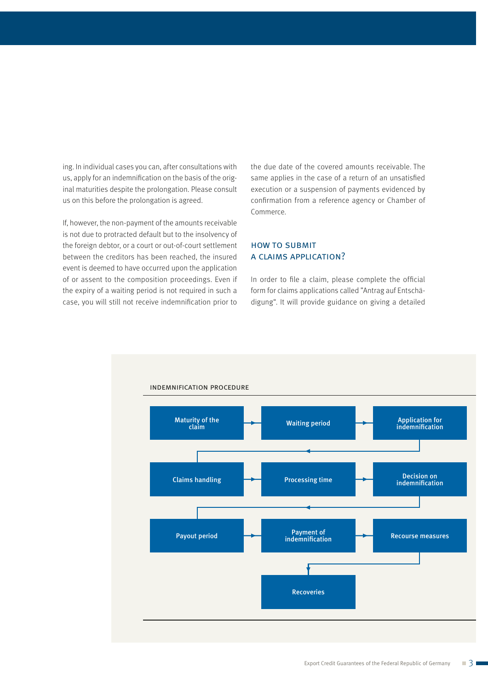ing. In individual cases you can, after consultations with us, apply for an indemnification on the basis of the original maturities despite the prolongation. Please consult us on this before the prolongation is agreed.

If, however, the non-payment of the amounts receivable is not due to protracted default but to the insolvency of the foreign debtor, or a court or out-of-court settlement between the creditors has been reached, the insured event is deemed to have occurred upon the application of or assent to the composition proceedings. Even if the expiry of a waiting period is not required in such a case, you will still not receive indemnification prior to the due date of the covered amounts receivable. The same applies in the case of a return of an unsatisfied execution or a suspension of payments evidenced by confirmation from a reference agency or Chamber of Commerce.

### how to submit a claims application?

In order to file a claim, please complete the official form for claims applications called "Antrag auf Entschädigung". It will provide guidance on giving a detailed

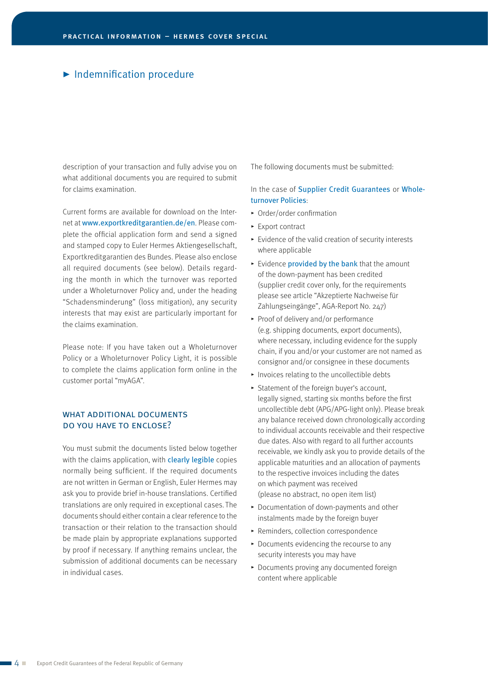## $\blacktriangleright$  Indemnification procedure

description of your transaction and fully advise you on what additional documents you are required to submit for claims examination.

Current forms are available for download on the Internet at [www.exportkreditgarantien.de/en](https://www.agaportal.de/en). Please complete the official application form and send a signed and stamped copy to Euler Hermes Aktiengesellschaft, Exportkreditgarantien des Bundes. Please also enclose all required documents (see below). Details regarding the month in which the turnover was reported under a Wholeturnover Policy and, under the heading "Schadensminderung" (loss mitigation), any security interests that may exist are particularly important for the claims examination.

Please note: If you have taken out a Wholeturnover Policy or a Wholeturnover Policy Light, it is possible to complete the claims application form online in the customer portal "myAGA".

#### WHAT ADDITIONAL DOCUMENTS do you have to enclose?

You must submit the documents listed below together with the claims application, with **clearly legible** copies normally being sufficient. If the required documents are not written in German or English, Euler Hermes may ask you to provide brief in-house translations. Certified translations are only required in exceptional cases. The documents should either contain a clear reference to the transaction or their relation to the transaction should be made plain by appropriate explanations supported by proof if necessary. If anything remains unclear, the submission of additional documents can be necessary in individual cases.

The following documents must be submitted:

#### In the case of Supplier Credit Guarantees or Wholeturnover Policies:

- $\triangleright$  Order/order confirmation
- ► Export contract
- $\blacktriangleright$  Evidence of the valid creation of security interests where applicable
- Evidence provided by the bank that the amount of the down-payment has been credited (supplier credit cover only, for the requirements please see article "Akzeptierte Nachweise für Zahlungseingänge", AGA-Report No. 247)
- Proof of delivery and/or performance (e.g. shipping documents, export documents), where necessary, including evidence for the supply chain, if you and/or your customer are not named as consignor and/or consignee in these documents
- $\blacktriangleright$  Invoices relating to the uncollectible debts
- **F** Statement of the foreign buyer's account, legally signed, starting six months before the first uncollectible debt (APG/APG-light only). Please break any balance received down chronologically according to individual accounts receivable and their respective due dates. Also with regard to all further accounts receivable, we kindly ask you to provide details of the applicable maturities and an allocation of payments to the respective invoices including the dates on which payment was received (please no abstract, no open item list)
- $\blacktriangleright$  Documentation of down-payments and other instalments made by the foreign buyer
- $\blacktriangleright$  Reminders, collection correspondence
- $\triangleright$  Documents evidencing the recourse to any security interests you may have
- **Documents proving any documented foreign** content where applicable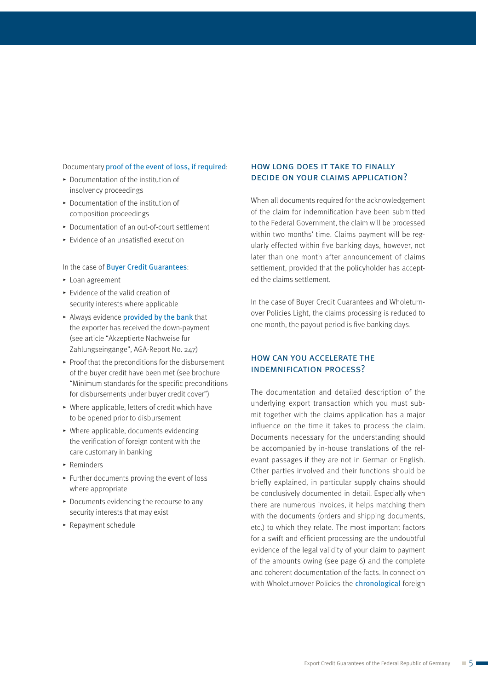#### Documentary proof of the event of loss, if required:

- $\blacktriangleright$  Documentation of the institution of insolvency proceedings
- $\blacktriangleright$  Documentation of the institution of composition proceedings
- ▶ Documentation of an out-of-court settlement
- $\blacktriangleright$  Evidence of an unsatisfied execution

#### In the case of Buyer Credit Guarantees:

- $\blacktriangleright$  Loan agreement
- $\blacktriangleright$  Evidence of the valid creation of security interests where applicable
- Always evidence provided by the bank that the exporter has received the down-payment (see article "Akzeptierte Nachweise für Zahlungseingänge", AGA-Report No. 247)
- $\blacktriangleright$  Proof that the preconditions for the disbursement of the buyer credit have been met (see brochure "Minimum standards for the specific preconditions for disbursements under buyer credit cover")
- $\triangleright$  Where applicable, letters of credit which have to be opened prior to disbursement
- $\blacktriangleright$  Where applicable, documents evidencing the verification of foreign content with the care customary in banking
- $\blacktriangleright$  Reminders
- $\blacktriangleright$  Further documents proving the event of loss where appropriate
- $\triangleright$  Documents evidencing the recourse to any security interests that may exist
- $\blacktriangleright$  Repayment schedule

## how long does it take to finally decide on your claims application?

When all documents required for the acknowledgement of the claim for indemnification have been submitted to the Federal Government, the claim will be processed within two months' time. Claims payment will be regularly effected within five banking days, however, not later than one month after announcement of claims settlement, provided that the policyholder has accepted the claims settlement.

In the case of Buyer Credit Guarantees and Wholeturnover Policies Light, the claims processing is reduced to one month, the payout period is five banking days.

### how can you accelerate the indemnification process?

The documentation and detailed description of the underlying export transaction which you must submit together with the claims application has a major influence on the time it takes to process the claim. Documents necessary for the understanding should be accompanied by in-house translations of the relevant passages if they are not in German or English. Other parties involved and their functions should be briefly explained, in particular supply chains should be conclusively documented in detail. Especially when there are numerous invoices, it helps matching them with the documents (orders and shipping documents, etc.) to which they relate. The most important factors for a swift and efficient processing are the undoubtful evidence of the legal validity of your claim to payment of the amounts owing (see page 6) and the complete and coherent documentation of the facts. In connection with Wholeturnover Policies the *chronological* foreign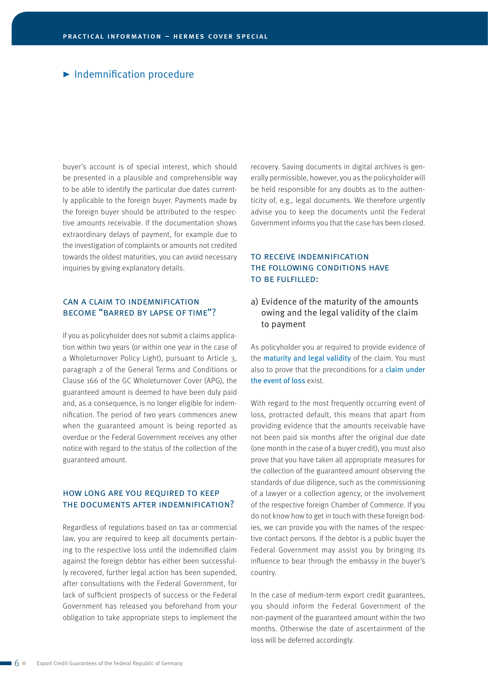## $\blacktriangleright$  Indemnification procedure

buyer's account is of special interest, which should be presented in a plausible and comprehensible way to be able to identify the particular due dates currently applicable to the foreign buyer. Payments made by the foreign buyer should be attributed to the respective amounts receivable. If the documentation shows extraordinary delays of payment, for example due to the investigation of complaints or amounts not credited towards the oldest maturities, you can avoid necessary inquiries by giving explanatory details.

### can a claim to indemnification become "barred by lapse of time"?

If you as policyholder does not submit a claims application within two years (or within one year in the case of a Wholeturnover Policy Light), pursuant to Article 3, paragraph 2 of the General Terms and Conditions or Clause 166 of the GC Wholeturnover Cover (APG), the guaranteed amount is deemed to have been duly paid and, as a consequence, is no longer eligible for indemnification. The period of two years commences anew when the guaranteed amount is being reported as overdue or the Federal Government receives any other notice with regard to the status of the collection of the guaranteed amount.

#### how long are you required to keep the documents after indemnification?

Regardless of regulations based on tax or commercial law, you are required to keep all documents pertaining to the respective loss until the indemnified claim against the foreign debtor has either been successfully recovered, further legal action has been supended, after consultations with the Federal Government, for lack of sufficient prospects of success or the Federal Government has released you beforehand from your obligation to take appropriate steps to implement the recovery. Saving documents in digital archives is generally permissible, however, you as the policyholder will be held responsible for any doubts as to the authenticity of, e.g., legal documents. We therefore urgently advise you to keep the documents until the Federal Government informs you that the case has been closed.

# to receive indemnification the following conditions have to be fulfilled:

### a) Evidence of the maturity of the amounts owing and the legal validity of the claim to payment

As policyholder you ar required to provide evidence of the maturity and legal validity of the claim. You must also to prove that the preconditions for a claim under the event of loss exist.

With regard to the most frequently occurring event of loss, protracted default, this means that apart from providing evidence that the amounts receivable have not been paid six months after the original due date (one month in the case of a buyer credit), you must also prove that you have taken all appropriate measures for the collection of the guaranteed amount observing the standards of due diligence, such as the commissioning of a lawyer or a collection agency, or the involvement of the respective foreign Chamber of Commerce. If you do not know how to get in touch with these foreign bodies, we can provide you with the names of the respective contact persons. If the debtor is a public buyer the Federal Government may assist you by bringing its influence to bear through the embassy in the buyer's country.

In the case of medium-term export credit guarantees, you should inform the Federal Government of the non-payment of the guaranteed amount within the two months. Otherwise the date of ascertainment of the loss will be deferred accordingly.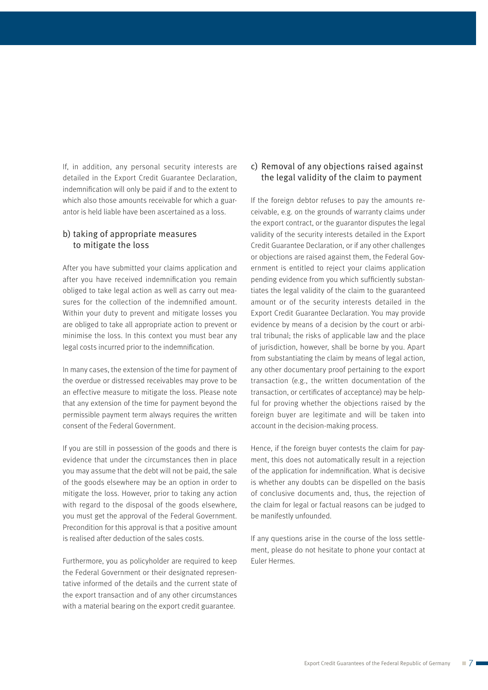If, in addition, any personal security interests are detailed in the Export Credit Guarantee Declaration, indemnification will only be paid if and to the extent to which also those amounts receivable for which a guarantor is held liable have been ascertained as a loss.

## b) taking of appropriate measures to mitigate the loss

After you have submitted your claims application and after you have received indemnification you remain obliged to take legal action as well as carry out measures for the collection of the indemnified amount. Within your duty to prevent and mitigate losses you are obliged to take all appropriate action to prevent or minimise the loss. In this context you must bear any legal costs incurred prior to the indemnification.

In many cases, the extension of the time for payment of the overdue or distressed receivables may prove to be an effective measure to mitigate the loss. Please note that any extension of the time for payment beyond the permissible payment term always requires the written consent of the Federal Government.

If you are still in possession of the goods and there is evidence that under the circumstances then in place you may assume that the debt will not be paid, the sale of the goods elsewhere may be an option in order to mitigate the loss. However, prior to taking any action with regard to the disposal of the goods elsewhere, you must get the approval of the Federal Government. Precondition for this approval is that a positive amount is realised after deduction of the sales costs.

Furthermore, you as policyholder are required to keep the Federal Government or their designated representative informed of the details and the current state of the export transaction and of any other circumstances with a material bearing on the export credit guarantee.

# c) Removal of any objections raised against the legal validity of the claim to payment

If the foreign debtor refuses to pay the amounts receivable, e.g. on the grounds of warranty claims under the export contract, or the guarantor disputes the legal validity of the security interests detailed in the Export Credit Guarantee Declaration, or if any other challenges or objections are raised against them, the Federal Government is entitled to reject your claims application pending evidence from you which sufficiently substantiates the legal validity of the claim to the guaranteed amount or of the security interests detailed in the Export Credit Guarantee Declaration. You may provide evidence by means of a decision by the court or arbitral tribunal; the risks of applicable law and the place of jurisdiction, however, shall be borne by you. Apart from substantiating the claim by means of legal action, any other documentary proof pertaining to the export transaction (e.g., the written documentation of the transaction, or certificates of acceptance) may be helpful for proving whether the objections raised by the foreign buyer are legitimate and will be taken into account in the decision-making process.

Hence, if the foreign buyer contests the claim for payment, this does not automatically result in a rejection of the application for indemnification. What is decisive is whether any doubts can be dispelled on the basis of conclusive documents and, thus, the rejection of the claim for legal or factual reasons can be judged to be manifestly unfounded.

If any questions arise in the course of the loss settlement, please do not hesitate to phone your contact at Euler Hermes.